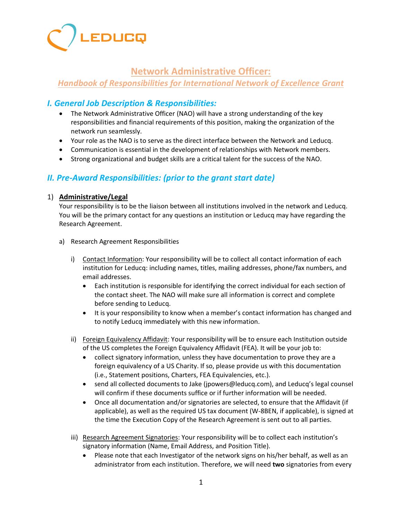

# **Network Administrative Officer:**

# *Handbook of Responsibilities for International Network of Excellence Grant*

# *I. General Job Description & Responsibilities:*

- The Network Administrative Officer (NAO) will have a strong understanding of the key responsibilities and financial requirements of this position, making the organization of the network run seamlessly.
- Your role as the NAO is to serve as the direct interface between the Network and Leducq.
- Communication is essential in the development of relationships with Network members.
- Strong organizational and budget skills are a critical talent for the success of the NAO.

## *II. Pre-Award Responsibilities: (prior to the grant start date)*

## 1) **Administrative/Legal**

Your responsibility is to be the liaison between all institutions involved in the network and Leducq. You will be the primary contact for any questions an institution or Leducq may have regarding the Research Agreement.

- a) Research Agreement Responsibilities
	- i) Contact Information: Your responsibility will be to collect all contact information of each institution for Leducq: including names, titles, mailing addresses, phone/fax numbers, and email addresses.
		- Each institution is responsible for identifying the correct individual for each section of the contact sheet. The NAO will make sure all information is correct and complete before sending to Leducq.
		- It is your responsibility to know when a member's contact information has changed and to notify Leducq immediately with this new information.
	- ii) Foreign Equivalency Affidavit: Your responsibility will be to ensure each Institution outside of the US completes the Foreign Equivalency Affidavit (FEA). It will be your job to:
		- collect signatory information, unless they have documentation to prove they are a foreign equivalency of a US Charity. If so, please provide us with this documentation (i.e., Statement positions, Charters, FEA Equivalencies, etc.).
		- send all collected documents to Jake (jpowers@leducq.com), and Leducq's legal counsel will confirm if these documents suffice or if further information will be needed.
		- Once all documentation and/or signatories are selected, to ensure that the Affidavit (if applicable), as well as the required US tax document (W-8BEN, if applicable), is signed at the time the Execution Copy of the Research Agreement is sent out to all parties.
	- iii) Research Agreement Signatories: Your responsibility will be to collect each institution's signatory information (Name, Email Address, and Position Title).
		- Please note that each Investigator of the network signs on his/her behalf, as well as an administrator from each institution. Therefore, we will need **two** signatories from every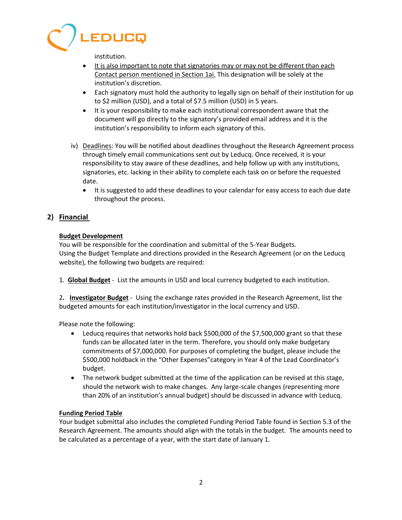

institution.

- It is also important to note that signatories may or may not be different than each Contact person mentioned in Section 1ai. This designation will be solely at the institution's discretion.
- Each signatory must hold the authority to legally sign on behalf of their institution for up to \$2 million (USD), and a total of \$7.5 million (USD) in 5 years.
- It is your responsibility to make each institutional correspondent aware that the document will go directly to the signatory's provided email address and it is the institution's responsibility to inform each signatory of this.
- iv) Deadlines: You will be notified about deadlines throughout the Research Agreement process through timely email communications sent out by Leducq. Once received, it is your responsibility to stay aware of these deadlines, and help follow up with any institutions, signatories, etc. lacking in their ability to complete each task on or before the requested date.
	- It is suggested to add these deadlines to your calendar for easy access to each due date throughout the process.

## **2) Financial**

#### **Budget Development**

You will be responsible for the coordination and submittal of the 5-Year Budgets. Using the Budget Template and directions provided in the Research Agreement (or on the Leducq website), the following two budgets are required:

1. **Global Budget** - List the amounts in USD and local currency budgeted to each institution.

2**. Investigator Budget** - Using the exchange rates provided in the Research Agreement, list the budgeted amounts for each institution/investigator in the local currency and USD.

Please note the following:

- Leducq requires that networks hold back \$500,000 of the \$7,500,000 grant so that these funds can be allocated later in the term. Therefore, you should only make budgetary commitments of \$7,000,000. For purposes of completing the budget, please include the \$500,000 holdback in the "Other Expenses"category in Year 4 of the Lead Coordinator's budget.
- The network budget submitted at the time of the application can be revised at this stage, should the network wish to make changes. Any large-scale changes (representing more than 20% of an institution's annual budget) should be discussed in advance with Leducq.

#### **Funding Period Table**

Your budget submittal also includes the completed Funding Period Table found in Section 5.3 of the Research Agreement. The amounts should align with the totals in the budget. The amounts need to be calculated as a percentage of a year, with the start date of January 1.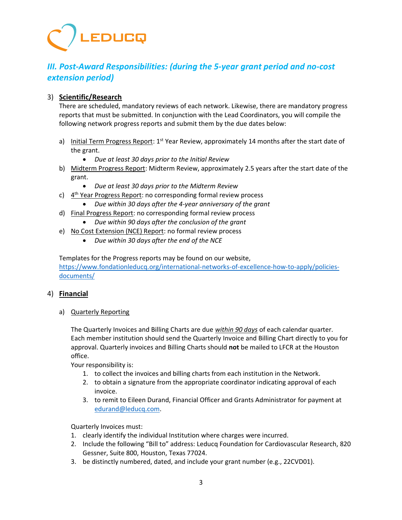# EDUCQ

# *III. Post-Award Responsibilities: (during the 5-year grant period and no-cost extension period)*

## 3) **Scientific/Research**

There are scheduled, mandatory reviews of each network. Likewise, there are mandatory progress reports that must be submitted. In conjunction with the Lead Coordinators, you will compile the following network progress reports and submit them by the due dates below:

- a) Initial Term Progress Report:  $1^{st}$  Year Review, approximately 14 months after the start date of the grant.
	- *Due at least 30 days prior to the Initial Review*
- b) Midterm Progress Report: Midterm Review, approximately 2.5 years after the start date of the grant.
	- *Due at least 30 days prior to the Midterm Review*
- c) 4<sup>th</sup> Year Progress Report: no corresponding formal review process
	- *Due within 30 days after the 4-year anniversary of the grant*
- d) Final Progress Report: no corresponding formal review process
	- *Due within 90 days after the conclusion of the grant*
- e) No Cost Extension (NCE) Report: no formal review process
	- *Due within 30 days after the end of the NCE*

Templates for the Progress reports may be found on our website, [https://www.fondationleducq.org/international-networks-of-excellence-how-to-apply/policies](https://www.fondationleducq.org/international-networks-of-excellence-how-to-apply/policies-documents/)[documents/](https://www.fondationleducq.org/international-networks-of-excellence-how-to-apply/policies-documents/)

## 4) **Financial**

a) Quarterly Reporting

The Quarterly Invoices and Billing Charts are due *within 90 days* of each calendar quarter. Each member institution should send the Quarterly Invoice and Billing Chart directly to you for approval. Quarterly invoices and Billing Charts should **not** be mailed to LFCR at the Houston office.

Your responsibility is:

- 1. to collect the invoices and billing charts from each institution in the Network.
- 2. to obtain a signature from the appropriate coordinator indicating approval of each invoice.
- 3. to remit to Eileen Durand, Financial Officer and Grants Administrator for payment at [edurand@leducq.com.](mailto:edurand@leducq.com)

Quarterly Invoices must:

- 1. clearly identify the individual Institution where charges were incurred.
- 2. Include the following "Bill to" address: Leducq Foundation for Cardiovascular Research, 820 Gessner, Suite 800, Houston, Texas 77024.
- 3. be distinctly numbered, dated, and include your grant number (e.g., 22CVD01).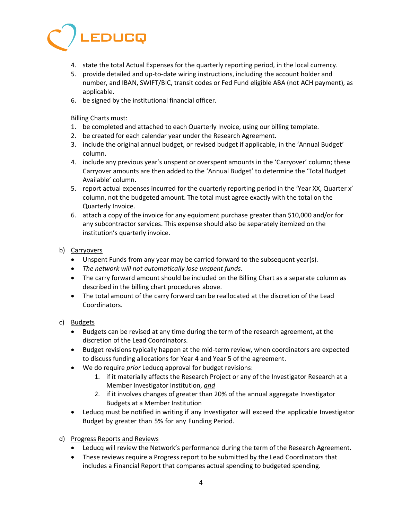

- 4. state the total Actual Expenses for the quarterly reporting period, in the local currency.
- 5. provide detailed and up-to-date wiring instructions, including the account holder and number, and IBAN, SWIFT/BIC, transit codes or Fed Fund eligible ABA (not ACH payment), as applicable.
- 6. be signed by the institutional financial officer.

Billing Charts must:

- 1. be completed and attached to each Quarterly Invoice, using our billing template.
- 2. be created for each calendar year under the Research Agreement.
- 3. include the original annual budget, or revised budget if applicable, in the 'Annual Budget' column.
- 4. include any previous year's unspent or overspent amounts in the 'Carryover' column; these Carryover amounts are then added to the 'Annual Budget' to determine the 'Total Budget Available' column.
- 5. report actual expenses incurred for the quarterly reporting period in the 'Year XX, Quarter x' column, not the budgeted amount. The total must agree exactly with the total on the Quarterly Invoice.
- 6. attach a copy of the invoice for any equipment purchase greater than \$10,000 and/or for any subcontractor services. This expense should also be separately itemized on the institution's quarterly invoice.

## b) Carryovers

- Unspent Funds from any year may be carried forward to the subsequent year(s).
- *The network will not automatically lose unspent funds.*
- The carry forward amount should be included on the Billing Chart as a separate column as described in the billing chart procedures above.
- The total amount of the carry forward can be reallocated at the discretion of the Lead Coordinators.

### c) Budgets

- Budgets can be revised at any time during the term of the research agreement, at the discretion of the Lead Coordinators.
- Budget revisions typically happen at the mid-term review, when coordinators are expected to discuss funding allocations for Year 4 and Year 5 of the agreement.
- We do require *prior* Leducq approval for budget revisions:
	- 1. if it materially affects the Research Project or any of the Investigator Research at a Member Investigator Institution, *and*
	- 2. if it involves changes of greater than 20% of the annual aggregate Investigator Budgets at a Member Institution
- Leducq must be notified in writing if any Investigator will exceed the applicable Investigator Budget by greater than 5% for any Funding Period.
- d) Progress Reports and Reviews
	- Leducq will review the Network's performance during the term of the Research Agreement.
	- These reviews require a Progress report to be submitted by the Lead Coordinators that includes a Financial Report that compares actual spending to budgeted spending.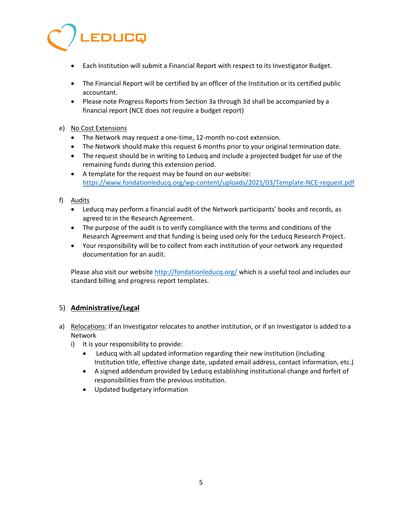

- Each Institution will submit a Financial Report with respect to its Investigator Budget.
- The Financial Report will be certified by an officer of the Institution or its certified public accountant.
- Please note Progress Reports from Section 3a through 3d shall be accompanied by a financial report (NCE does not require a budget report)

### e) No Cost Extensions

- The Network may request a one-time, 12-month no-cost extension.
- The Network should make this request 6 months prior to your original termination date.
- The request should be in writing to Leducq and include a projected budget for use of the remaining funds during this extension period.
- A template for the request may be found on our website: <https://www.fondationleducq.org/wp-content/uploads/2021/03/Template-NCE-request.pdf>

## f) Audits

- Leducq may perform a financial audit of the Network participants' books and records, as agreed to in the Research Agreement.
- The purpose of the audit is to verify compliance with the terms and conditions of the Research Agreement and that funding is being used only for the Leducq Research Project.
- Your responsibility will be to collect from each institution of your network any requested documentation for an audit.

Please also visit our website<http://fondationleducq.org/> which is a useful tool and includes our standard billing and progress report templates.

## 5) **Administrative/Legal**

- a) Relocations: If an Investigator relocates to another institution, or if an Investigator is added to a Network
	- i) It is your responsibility to provide:
		- Leducq with all updated information regarding their new institution (including Institution title, effective change date, updated email address, contact information, etc.)
		- A signed addendum provided by Leducq establishing institutional change and forfeit of responsibilities from the previous institution.
		- Updated budgetary information